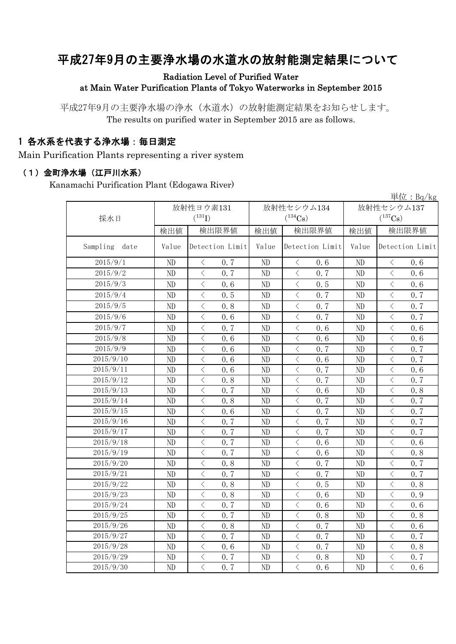# 平成27年9月の主要浄水場の水道水の放射能測定結果について

Radiation Level of Purified Water at Main Water Purification Plants of Tokyo Waterworks in September 2015

平成27年9月の主要浄水場の浄水(水道水)の放射能測定結果をお知らせします。 The results on purified water in September 2015 are as follows.

#### 1 各水系を代表する浄水場:毎日測定

Main Purification Plants representing a river system

#### (1)金町浄水場(江戸川水系)

Kanamachi Purification Plant (Edogawa River)

|                  |           |                                                 |            |                                                                                                                                                                                     |            | 単位: $Bq/kg$                 |  |
|------------------|-----------|-------------------------------------------------|------------|-------------------------------------------------------------------------------------------------------------------------------------------------------------------------------------|------------|-----------------------------|--|
|                  | 放射性ヨウ素131 |                                                 | 放射性セシウム134 |                                                                                                                                                                                     | 放射性セシウム137 |                             |  |
| 採水日              |           | $(^{131}I)$                                     |            | $(^{134}Cs)$                                                                                                                                                                        |            | $(^{137}Cs)$                |  |
|                  | 検出値       | 検出限界値                                           | 検出値        | 検出限界値                                                                                                                                                                               | 検出値        | 検出限界値                       |  |
| Sampling<br>date | Value     | Detection Limit                                 | Value      | Detection Limit                                                                                                                                                                     | Value      | Detection Limit             |  |
| 2015/9/1         | ND        | $\langle$<br>0.7                                | ND         | $\langle$<br>0.6                                                                                                                                                                    | ND         | $\langle$<br>0.6            |  |
| 2015/9/2         | ND        | $\overline{\left\langle \right\rangle }$<br>0.7 | ND         | $\overline{\left\langle \right\rangle }$<br>0.7                                                                                                                                     | ND         | $\langle$<br>0, 6           |  |
| 2015/9/3         | ND        | $\lt$<br>0.6                                    | ND         | $\langle$<br>0.5                                                                                                                                                                    | ND         | $\lt$<br>0.6                |  |
| 2015/9/4         | ND        | $\,$ $\,$ $\,$<br>0.5                           | ND         | 0.7<br>$\lt$                                                                                                                                                                        | ND         | $\,$ $\,$ $\,$<br>0.7       |  |
| 2015/9/5         | ND        | $\overline{\left\langle \right\rangle }$<br>0.8 | ND         | 0.7<br>$\lt$                                                                                                                                                                        | ND         | $\lt$<br>0.7                |  |
| 2015/9/6         | ND        | $\overline{\left\langle \right\rangle }$<br>0.6 | ND         | $\overline{\left\langle \right\rangle }$<br>0.7                                                                                                                                     | ND         | $\langle$<br>0.7            |  |
| 2015/9/7         | ND        | $\overline{\left\langle \right\rangle }$<br>0.7 | ND         | $\langle$<br>0.6                                                                                                                                                                    | ND         | $\langle$<br>0.6            |  |
| 2015/9/8         | ND        | $\overline{\left\langle \right\rangle }$<br>0.6 | ND         | $\overline{\left\langle \right\rangle }$<br>0.6                                                                                                                                     | ND         | $\overline{\langle}$<br>0.6 |  |
| 2015/9/9         | ND        | $\overline{\left\langle \right\rangle }$<br>0.6 | ND         | $\overline{\left\langle \right\rangle }$<br>0.7                                                                                                                                     | ND         | $\overline{\langle}$<br>0.7 |  |
| 2015/9/10        | ND        | $\overline{\left\langle \right\rangle }$<br>0.6 | ND         | $\overline{\left\langle \right\rangle }$<br>0.6                                                                                                                                     | ND         | $\langle$<br>0.7            |  |
| 2015/9/11        | ND        | $\overline{\left\langle \right\rangle }$<br>0.6 | ND         | $\langle$<br>0.7                                                                                                                                                                    | ND         | $\langle$<br>0.6            |  |
| 2015/9/12        | ND        | $\overline{\left\langle \right\rangle }$<br>0.8 | ND         | $\overline{\left\langle \right. }% ,\left\langle \overline{\left\langle \right. }% ,\left\langle \overline{\left\langle \right. }\right\rangle \right\rangle \left. \right.$<br>0.7 | ND         | $\bigg\langle$<br>0.7       |  |
| 2015/9/13        | ND        | $\overline{\left\langle \right\rangle }$<br>0.7 | ND         | $\langle$<br>0.6                                                                                                                                                                    | ND         | $\langle$<br>0.8            |  |
| 2015/9/14        | ND        | $\lt$<br>0.8                                    | ND         | $\langle$<br>0.7                                                                                                                                                                    | ND         | $\langle$<br>0.7            |  |
| 2015/9/15        | ND        | $\overline{\left\langle \right\rangle }$<br>0.6 | ND         | $\langle$<br>0.7                                                                                                                                                                    | ND         | $\langle$<br>0.7            |  |
| 2015/9/16        | ND        | $\overline{\left\langle \right\rangle }$<br>0.7 | ND         | $\lt$<br>0.7                                                                                                                                                                        | ND         | $\langle$<br>0.7            |  |
| 2015/9/17        | ND        | $\overline{\left\langle \right\rangle }$<br>0.7 | ND         | $\overline{\left\langle \right\rangle }$<br>0.7                                                                                                                                     | ND         | $\langle$<br>0.7            |  |
| 2015/9/18        | ND        | $\overline{\left\langle \right\rangle }$<br>0.7 | ND         | $\overline{\left\langle \right\rangle }$<br>0.6                                                                                                                                     | ND         | $\langle$<br>0.6            |  |
| 2015/9/19        | ND        | $\overline{\left\langle \right\rangle }$<br>0.7 | ND         | $\overline{\left\langle \right. }% ,\left\langle \overline{\left\langle \right. }% ,\left\langle \overline{\left\langle \right. }\right\rangle \right\rangle \left. \right.$<br>0.6 | ND         | $\lt$<br>0.8                |  |
| 2015/9/20        | ND        | $\langle$<br>0.8                                | ND         | $\overline{\left\langle \right. }% ,\left\langle \overline{\left\langle \right. }% ,\left\langle \overline{\left\langle \right. }\right\rangle \right\rangle \left. \right.$<br>0.7 | ND         | $\,$ $\,$ $\,$<br>0.7       |  |
| 2015/9/21        | ND        | $\lt$<br>0.7                                    | ND         | $\langle$<br>0.7                                                                                                                                                                    | ND         | $\lt$<br>0.7                |  |
| 2015/9/22        | ND        | $\lt$<br>0.8                                    | ND         | $\lt$<br>0.5                                                                                                                                                                        | ND         | $\,$ $\,$ $\,$<br>0.8       |  |
| 2015/9/23        | ND        | $\overline{\left\langle \right\rangle }$<br>0.8 | ND         | $\langle$<br>0.6                                                                                                                                                                    | ND         | $\,$ $\,$ $\,$<br>0.9       |  |
| 2015/9/24        | ND        | $\overline{\left\langle \right\rangle }$<br>0.7 | ND         | $\langle$<br>0.6                                                                                                                                                                    | ND         | $\langle$<br>0.6            |  |
| 2015/9/25        | ND        | $\langle$<br>0.7                                | ND         | $\overline{\left\langle \right. }% ,\left\langle \overline{\left\langle \right. }% ,\left\langle \overline{\left\langle \right. }\right\rangle \right\rangle \left. \right.$<br>0.8 | ND         | $\lt$<br>0.8                |  |
| 2015/9/26        | ND        | $\lt$<br>0.8                                    | ND         | $\langle$<br>0.7                                                                                                                                                                    | ND         | $\langle$<br>0.6            |  |
| 2015/9/27        | ND        | $\lt$<br>0.7                                    | ND         | $\langle$<br>0.7                                                                                                                                                                    | ND         | $\langle$<br>0.7            |  |
| 2015/9/28        | ND        | $\overline{\left\langle \right\rangle }$<br>0.6 | ND         | $\langle$<br>0.7                                                                                                                                                                    | ND         | $\lt$<br>0.8                |  |
| 2015/9/29        | ND        | $\langle$<br>0.7                                | ND         | $\langle$<br>0.8                                                                                                                                                                    | ND         | $\, \big\langle \,$<br>0.7  |  |
| 2015/9/30        | ND        | $\overline{\left\langle \right\rangle }$<br>0.7 | ND         | $\overline{\left\langle \right\rangle }$<br>0.6                                                                                                                                     | ND         | $\langle$<br>0.6            |  |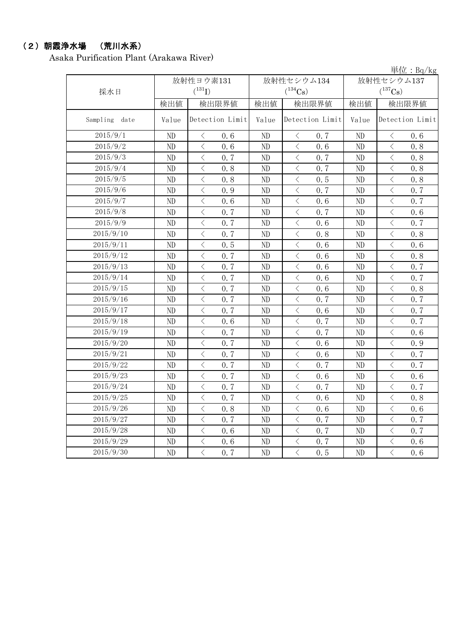## (2)朝霞浄水場 (荒川水系)

Asaka Purification Plant (Arakawa River)

|               |                |                                                                                                                                                                                     |       |                                                                                                                                                                                                                                                |          | 単位: $Bq/kg$                                                                                                                                                          |
|---------------|----------------|-------------------------------------------------------------------------------------------------------------------------------------------------------------------------------------|-------|------------------------------------------------------------------------------------------------------------------------------------------------------------------------------------------------------------------------------------------------|----------|----------------------------------------------------------------------------------------------------------------------------------------------------------------------|
|               |                | 放射性ヨウ素131                                                                                                                                                                           |       | 放射性セシウム134                                                                                                                                                                                                                                     |          | 放射性セシウム137                                                                                                                                                           |
| 採水日           |                | $(^{131}I)$                                                                                                                                                                         |       | $(^{134}Cs)$                                                                                                                                                                                                                                   |          | $(^{137}Cs)$                                                                                                                                                         |
|               | 検出値            | 検出限界値                                                                                                                                                                               | 検出値   | 検出限界値                                                                                                                                                                                                                                          | 検出値      | 検出限界値                                                                                                                                                                |
| Sampling date | Value          | Detection Limit                                                                                                                                                                     | Value | Detection Limit                                                                                                                                                                                                                                | Value    | Detection Limit                                                                                                                                                      |
| 2015/9/1      | N <sub>D</sub> | $\lt$<br>0, 6                                                                                                                                                                       | ND    | 0.7<br>$\langle$                                                                                                                                                                                                                               | ND       | $\langle$<br>0, 6                                                                                                                                                    |
| 2015/9/2      | ND             | $\langle$<br>0.6                                                                                                                                                                    | ND    | $\langle$<br>0.6                                                                                                                                                                                                                               | ND       | $\langle$<br>0.8                                                                                                                                                     |
| 2015/9/3      | ND             | $\overline{\left\langle \right\rangle }$<br>0.7                                                                                                                                     | ND    | $\lt$<br>0.7                                                                                                                                                                                                                                   | ND       | $\,$ $\,$ $\,$<br>0.8                                                                                                                                                |
| 2015/9/4      | ND             | $\overline{\left\langle \right\rangle }$<br>0.8                                                                                                                                     | ND    | $\langle$<br>0.7                                                                                                                                                                                                                               | ND       | $\overline{\left\langle \right\rangle }$<br>0.8                                                                                                                      |
| 2015/9/5      | ND             | $\overline{\left\langle \right\rangle }$<br>0.8                                                                                                                                     | ND    | $\lt$<br>0.5                                                                                                                                                                                                                                   | ND       | $\lt$<br>0.8                                                                                                                                                         |
| 2015/9/6      | ND             | $\lt$<br>0.9                                                                                                                                                                        | ND    | $\lt$<br>0.7                                                                                                                                                                                                                                   | ND       | $\langle$<br>0.7                                                                                                                                                     |
| 2015/9/7      | ND             | $\overline{\left\langle \right\rangle }$<br>0, 6                                                                                                                                    | ND    | $\langle$<br>0.6                                                                                                                                                                                                                               | ND       | $\overline{\left\langle \right\rangle }$<br>0.7                                                                                                                      |
| 2015/9/8      | ND             | $\overline{\left\langle \right\rangle }$<br>0.7                                                                                                                                     | ND    | $\langle$<br>0.7                                                                                                                                                                                                                               | ND       | $\langle$<br>0.6                                                                                                                                                     |
| 2015/9/9      | ND             | $\overline{\left\langle \right\rangle }$<br>0.7                                                                                                                                     | ND    | $\lt$<br>0.6                                                                                                                                                                                                                                   | ND       | $\bigg\langle$<br>0.7                                                                                                                                                |
| 2015/9/10     | ND             | $\overline{\left\langle \right\rangle }$<br>0.7                                                                                                                                     | ND    | $\overline{\left\langle \right. }% ,\left\langle \overline{\left\langle \right. }\right\rangle _{0}\right\langle \overline{\left\langle \right. }% ,\left\langle \overline{\left\langle \right. }\right\rangle _{0}\right\rangle _{0}}$<br>0.8 | ND       | $\overline{\left\langle \right\rangle }$<br>0.8                                                                                                                      |
| 2015/9/11     | ND             | $\overline{\left\langle \right\rangle }$<br>0.5                                                                                                                                     | ND    | $\hspace{0.5cm}\big\langle$<br>0.6                                                                                                                                                                                                             | ND       | $\,$ $\,$ $\,$<br>0.6                                                                                                                                                |
| 2015/9/12     | ND             | $\, <\,$<br>0.7                                                                                                                                                                     | ND    | $\lt$<br>0.6                                                                                                                                                                                                                                   | ND       | $\lt$<br>0.8                                                                                                                                                         |
| 2015/9/13     | ND             | $\,$ $\,$ $\,$<br>0.7                                                                                                                                                               | ND    | $\lt$<br>0.6                                                                                                                                                                                                                                   | ND       | $\,$ $\,$ $\,$<br>0.7                                                                                                                                                |
| 2015/9/14     | ND             | $\,$ $\,$ $\,$<br>0.7                                                                                                                                                               | ND    | $\lt$<br>0.6                                                                                                                                                                                                                                   | $\rm ND$ | $\lt$<br>0.7                                                                                                                                                         |
| 2015/9/15     | ND             | $\langle$<br>0.7                                                                                                                                                                    | ND    | $\lt$<br>0.6                                                                                                                                                                                                                                   | $\rm ND$ | $\,$ $\,$ $\,$<br>0.8                                                                                                                                                |
| 2015/9/16     | ND             | $\overline{\left\langle \right\rangle }$<br>0.7                                                                                                                                     | ND    | $\langle$<br>0.7                                                                                                                                                                                                                               | ND       | $\overline{\left\langle \right\rangle }$<br>0.7                                                                                                                      |
| 2015/9/17     | ND             | $\overline{\left\langle \right. }% ,\left\langle \overline{\left\langle \right. }% ,\left\langle \overline{\left\langle \right. }\right\rangle \right\rangle \left. \right.$<br>0.7 | ND    | $\,$ $\,$ $\,$<br>0.6                                                                                                                                                                                                                          | ND       | $\overline{\left\langle \right. }% ,\left\langle \overline{\left\langle \right. }% ,\left\langle \overline{\left\langle \right\rangle }\right\rangle \right.$<br>0.7 |
| 2015/9/18     | ND             | $\,$ $\,$ $\,$<br>0.6                                                                                                                                                               | ND    | $\,$ $\,$ $\,$<br>0.7                                                                                                                                                                                                                          | ND       | $\overline{\left\langle \right\rangle }$<br>0.7                                                                                                                      |
| 2015/9/19     | ND             | $\overline{\left\langle \right\rangle }$<br>0.7                                                                                                                                     | ND    | $\overline{\left\langle \right. }% ,\left\langle \overline{\left\langle \right. }% ,\left\langle \overline{\left\langle \right\rangle }\right\rangle \right.$<br>0.7                                                                           | ND       | $\overline{\left\langle \right\rangle }$<br>0.6                                                                                                                      |
| 2015/9/20     | ND             | $\overline{\left\langle \right\rangle }$<br>0.7                                                                                                                                     | ND    | $\langle$<br>0.6                                                                                                                                                                                                                               | $\rm ND$ | $\langle$<br>0.9                                                                                                                                                     |
| 2015/9/21     | ND             | $\lt$<br>0.7                                                                                                                                                                        | ND    | $\lt$<br>0.6                                                                                                                                                                                                                                   | ND       | $\lt$<br>0.7                                                                                                                                                         |
| 2015/9/22     | ND             | $\overline{\left\langle \right\rangle }$<br>0.7                                                                                                                                     | ND    | $\langle$<br>0.7                                                                                                                                                                                                                               | ND       | $\langle$<br>0.7                                                                                                                                                     |
| 2015/9/23     | ND             | $\langle$<br>0.7                                                                                                                                                                    | ND    | $\bigl\langle$<br>0.6                                                                                                                                                                                                                          | ND       | $\bigg\langle$<br>0.6                                                                                                                                                |
| 2015/9/24     | ND             | $\lt$<br>0.7                                                                                                                                                                        | ND    | $\, <\,$<br>0.7                                                                                                                                                                                                                                | ND       | $\lt$<br>0.7                                                                                                                                                         |
| 2015/9/25     | ND             | $\langle$<br>0.7                                                                                                                                                                    | ND    | $\lt$<br>0.6                                                                                                                                                                                                                                   | ND       | $\lt$<br>0.8                                                                                                                                                         |
| 2015/9/26     | ND             | $\lt$<br>0.8                                                                                                                                                                        | ND    | $\langle$<br>0.6                                                                                                                                                                                                                               | ND       | $\langle$<br>0.6                                                                                                                                                     |
| 2015/9/27     | ND             | $\overline{\left\langle \right\rangle }$<br>0.7                                                                                                                                     | ND    | $\,$ $\,$ $\,$<br>0.7                                                                                                                                                                                                                          | ND       | $\langle$<br>0.7                                                                                                                                                     |
| 2015/9/28     | ND             | $\overline{\left\langle \right\rangle }$<br>0.6                                                                                                                                     | ND    | $\lt$<br>0.7                                                                                                                                                                                                                                   | ND       | $\,$ $\,$ $\,$<br>0.7                                                                                                                                                |
| 2015/9/29     | ND             | $\langle$<br>0.6                                                                                                                                                                    | ND    | $\bigg\langle$<br>0.7                                                                                                                                                                                                                          | ND       | $\overline{\left\langle \right. }% ,\left\langle \overline{\left\langle \right. }% ,\left\langle \overline{\left\langle \right\rangle }\right\rangle \right.$<br>0.6 |
| 2015/9/30     | ND             | $\overline{\left\langle \right\rangle }$<br>0.7                                                                                                                                     | ND    | $\overline{\left\langle \right\rangle }$<br>0.5                                                                                                                                                                                                | ND       | $\langle$<br>0.6                                                                                                                                                     |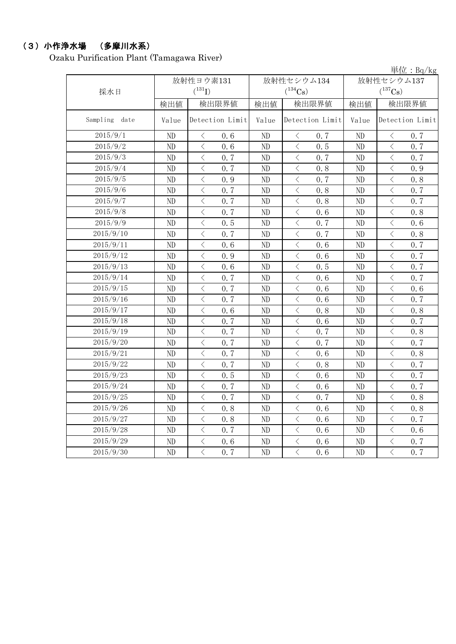## (3)小作浄水場 (多摩川水系)

Ozaku Purification Plant (Tamagawa River)

|               |             |                                                  |       |                                    |          | 単位: $Bq/kg$                                     |  |
|---------------|-------------|--------------------------------------------------|-------|------------------------------------|----------|-------------------------------------------------|--|
|               |             | 放射性ヨウ素131                                        |       | 放射性セシウム134                         |          | 放射性セシウム137                                      |  |
| 採水日           | $(^{131}I)$ |                                                  |       | $(^{134}Cs)$                       |          | $(^{137}Cs)$                                    |  |
|               | 検出値         | 検出限界値                                            | 検出値   | 検出限界値                              | 検出値      | 検出限界値                                           |  |
| Sampling date | Value       | Detection Limit                                  | Value | Detection Limit                    | Value    | Detection Limit                                 |  |
| 2015/9/1      | ND          | 0.6<br>$\lt$                                     | ND    | 0.7<br>$\lt$                       | ND       | 0.7<br>$\lt$                                    |  |
| 2015/9/2      | ND          | $\langle$<br>0.6                                 | ND    | $\langle$<br>0.5                   | ND       | $\langle$<br>0.7                                |  |
| 2015/9/3      | ND          | $\overline{\left\langle \right\rangle }$<br>0.7  | ND    | $\,$ $\,$ $\,$<br>0.7              | ND       | $\langle$<br>0.7                                |  |
| 2015/9/4      | ND          | $\overline{\left\langle \right\rangle }$<br>0.7  | ND    | $\,$ $\,$ $\,$<br>0.8              | ND       | $\langle$<br>0.9                                |  |
| 2015/9/5      | ND          | $\lt$<br>0.9                                     | ND    | $\,$ $\,$ $\,$<br>0.7              | ND       | $\lt$<br>0.8                                    |  |
| 2015/9/6      | ND          | $\overline{\langle}$<br>0.7                      | ND    | $\langle$<br>0.8                   | ND       | $\langle$<br>0.7                                |  |
| 2015/9/7      | ND          | $\overline{\left\langle \right\rangle }$<br>0.7  | ND    | $\,$ $\,$ $\,$<br>0.8              | ND       | $\langle$<br>0.7                                |  |
| 2015/9/8      | ND          | $\overline{\left\langle \right\rangle }$<br>0, 7 | ND    | $\hspace{0.5cm}\big\langle$<br>0.6 | ND       | $\,$ $\,$ $\,$<br>0.8                           |  |
| 2015/9/9      | ND          | $\langle$<br>0.5                                 | ND    | $\hspace{0.5cm}\big\langle$<br>0.7 | ND       | $\, \big\langle \,$<br>0.6                      |  |
| 2015/9/10     | ND          | $\lt$<br>0.7                                     | ND    | $\, <\,$<br>0.7                    | ND       | $\lt$<br>0.8                                    |  |
| 2015/9/11     | ND          | $\, <\,$<br>0.6                                  | ND    | $\lt$<br>0.6                       | ND       | $\lt$<br>0.7                                    |  |
| 2015/9/12     | ND          | $\langle$<br>0.9                                 | ND    | $\langle$<br>0.6                   | ND       | $\langle$<br>0.7                                |  |
| 2015/9/13     | ND          | $\langle$<br>0.6                                 | ND    | $\,$ $\,$ $\,$<br>0.5              | ND       | $\langle$<br>0.7                                |  |
| 2015/9/14     | ND          | $\overline{\left\langle \right\rangle }$<br>0.7  | ND    | $\,$ $\,$ $\,$<br>0.6              | ND       | $\langle$<br>0.7                                |  |
| 2015/9/15     | ND          | $\overline{\left\langle \right\rangle }$<br>0.7  | ND    | $\,$ $\,$ $\,$<br>0.6              | ND       | $\overline{\left\langle \right\rangle }$<br>0.6 |  |
| 2015/9/16     | ND          | $\,$ $\,$ $\,$<br>0.7                            | ND    | $\,$ $\,$ $\,$<br>0.6              | ND       | $\langle$<br>0.7                                |  |
| 2015/9/17     | ND          | $\,$ $\,$ $\,$<br>0.6                            | ND    | $\langle$<br>0.8                   | ND       | $\langle$<br>0.8                                |  |
| 2015/9/18     | ND          | $\overline{\left\langle \right\rangle }$<br>0.7  | ND    | $\lt$<br>0.6                       | ND       | $\langle$<br>0.7                                |  |
| 2015/9/19     | ND          | $\overline{\langle}$<br>0.7                      | ND    | $\overline{\langle}$<br>0.7        | ND       | $\overline{\left\langle \right\rangle }$<br>0.8 |  |
| 2015/9/20     | ND          | $\overline{\left\langle \right\rangle }$<br>0.7  | ND    | $\langle$<br>0.7                   | $\rm ND$ | $\langle$<br>0.7                                |  |
| 2015/9/21     | ND          | $\lt$<br>0.7                                     | ND    | $\lt$<br>0.6                       | ND       | $\lt$<br>0.8                                    |  |
| 2015/9/22     | ND          | $\overline{\left\langle \right\rangle }$<br>0, 7 | ND    | $\,$ $\,$ $\,$<br>0.8              | ND       | $\langle$<br>0.7                                |  |
| 2015/9/23     | ND          | $\langle$<br>0.5                                 | ND    | $\hspace{0.5cm}\big\langle$<br>0.6 | ND       | $\, \big\langle \,$<br>0.7                      |  |
| 2015/9/24     | ND          | $\lt$<br>0.7                                     | ND    | $\, <\,$<br>0.6                    | ND       | $\lt$<br>0.7                                    |  |
| 2015/9/25     | ND          | $\langle$<br>0.7                                 | ND    | $\langle$<br>0.7                   | ND       | $\langle$<br>0.8                                |  |
| 2015/9/26     | ND          | $\langle$<br>0.8                                 | ND    | $\langle$<br>0.6                   | ND       | $\langle$<br>0.8                                |  |
| 2015/9/27     | ND          | $\overline{\left\langle \right\rangle }$<br>0.8  | ND    | $\lt$<br>0.6                       | ND       | $\langle$<br>0.7                                |  |
| 2015/9/28     | ND          | $\overline{\left\langle \right\rangle }$<br>0.7  | ND    | $\,$ $\,$ $\,$<br>0.6              | $\rm ND$ | $\lt$<br>0.6                                    |  |
| 2015/9/29     | ND          | $\langle$<br>0.6                                 | ND    | $\hspace{0.5cm}\big\langle$<br>0.6 | ND       | $\,$ $\,$ $\,$<br>0.7                           |  |
| 2015/9/30     | ND          | $\langle$<br>0.7                                 | ND    | $\langle$<br>0.6                   | ND       | $\langle$<br>0.7                                |  |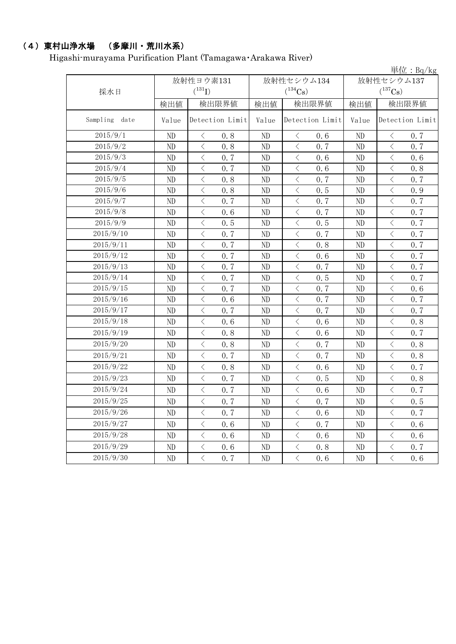## (4)東村山浄水場 (多摩川・荒川水系)

Higashi-murayama Purification Plant (Tamagawa・Arakawa River)

|                  |       |                                                  |          |                                                                                                                                                                                                                                                |       | 単位: $Bq/kg$                                     |
|------------------|-------|--------------------------------------------------|----------|------------------------------------------------------------------------------------------------------------------------------------------------------------------------------------------------------------------------------------------------|-------|-------------------------------------------------|
|                  |       | 放射性ヨウ素131                                        |          | 放射性セシウム134                                                                                                                                                                                                                                     |       | 放射性セシウム137                                      |
| 採水日              |       | $(^{131}I)$                                      |          | $(^{134}\mathrm{Cs})$                                                                                                                                                                                                                          |       | $(^{137}\mathrm{Cs})$                           |
|                  | 検出値   | 検出限界値                                            | 検出値      | 検出限界値                                                                                                                                                                                                                                          | 検出値   | 検出限界値                                           |
| Sampling<br>date | Value | Detection Limit                                  | Value    | Detection Limit                                                                                                                                                                                                                                | Value | Detection Limit                                 |
| 2015/9/1         | ND    | $\lt$<br>0.8                                     | ND       | 0.6<br>$\langle$                                                                                                                                                                                                                               | ND    | 0.7<br>$\lt$                                    |
| 2015/9/2         | ND    | $\lt$<br>0.8                                     | ND       | $\langle$<br>0.7                                                                                                                                                                                                                               | ND    | $\lt$<br>0.7                                    |
| 2015/9/3         | ND    | $\overline{\left\langle \right\rangle }$<br>0.7  | ND       | $\lt$<br>0.6                                                                                                                                                                                                                                   | ND    | $\overline{\left\langle \right\rangle }$<br>0.6 |
| 2015/9/4         | ND    | $\overline{\left\langle \right\rangle }$<br>0.7  | ND       | $\,$ $\,$ $\,$<br>0.6                                                                                                                                                                                                                          | ND    | $\overline{\left\langle \right\rangle }$<br>0.8 |
| 2015/9/5         | ND    | $\overline{\left\langle \right\rangle }$<br>0, 8 | ND       | $\lt$<br>0.7                                                                                                                                                                                                                                   | ND    | $\overline{\left\langle \right\rangle }$<br>0.7 |
| 2015/9/6         | ND    | $\langle$<br>0.8                                 | ND       | $\,$ $\,$ $\,$<br>0.5                                                                                                                                                                                                                          | ND    | $\langle$<br>0.9                                |
| 2015/9/7         | ND    | $\overline{\left\langle \right\rangle }$<br>0.7  | ND       | $\,$ $\,$ $\,$<br>0.7                                                                                                                                                                                                                          | ND    | $\langle$<br>0.7                                |
| 2015/9/8         | ND    | $\langle$<br>0.6                                 | ND       | $\langle$<br>0.7                                                                                                                                                                                                                               | ND    | $\lt$<br>0.7                                    |
| 2015/9/9         | ND    | $\overline{\left\langle \right\rangle }$<br>0.5  | ND       | $\overline{\left\langle \right\rangle }$<br>0.5                                                                                                                                                                                                | ND    | $\overline{\left\langle \right\rangle }$<br>0.7 |
| 2015/9/10        | ND    | $\langle$<br>0.7                                 | ND       | $\langle$<br>0.7                                                                                                                                                                                                                               | ND    | $\lt$<br>0.7                                    |
| 2015/9/11        | ND    | $\overline{\left\langle \right\rangle }$<br>0.7  | ND       | $\lt$<br>0.8                                                                                                                                                                                                                                   | ND    | $\langle$<br>0.7                                |
| 2015/9/12        | ND    | $\overline{\left\langle \right\rangle }$<br>0.7  | ND       | $\,$ $\,$ $\,$<br>0.6                                                                                                                                                                                                                          | ND    | $\langle$<br>0.7                                |
| 2015/9/13        | ND    | $\langle$<br>0.7                                 | ND       | $\lt$<br>0.7                                                                                                                                                                                                                                   | ND    | $\langle$<br>0.7                                |
| 2015/9/14        | ND    | $\overline{\left\langle \right\rangle }$<br>0.7  | ND       | $\langle$<br>0.5                                                                                                                                                                                                                               | ND    | $\overline{\left\langle \right\rangle }$<br>0.7 |
| 2015/9/15        | ND    | $\hspace{0.5cm}\big\langle$<br>0.7               | ND       | $\hspace{0.1mm} <\hspace{0.1mm}$<br>0.7                                                                                                                                                                                                        | ND    | $\bigg\langle$<br>0.6                           |
| 2015/9/16        | ND    | $\langle$<br>0, 6                                | ND       | $\hspace{0.1mm}\mathopen{\begin{array}{c}\mathopen{\fbox{$\scriptstyle<\}}\end{array}}\hspace{-0.1mm}$<br>0.7                                                                                                                                  | ND    | $\langle$<br>0.7                                |
| 2015/9/17        | ND    | $\,$ $\,$ $\,$<br>0.7                            | ND       | $\langle$<br>0.7                                                                                                                                                                                                                               | ND    | $\,$ $\,$ $\,$<br>0.7                           |
| 2015/9/18        | ND    | $\, \big\langle \,$<br>0.6                       | ND       | $\langle$<br>0.6                                                                                                                                                                                                                               | ND    | $\, <\,$<br>0.8                                 |
| 2015/9/19        | ND    | $\langle$<br>0, 8                                | ND       | $\langle$<br>0, 6                                                                                                                                                                                                                              | ND    | $\langle$<br>0.7                                |
| 2015/9/20        | ND    | $\lt$<br>0.8                                     | ND       | $\lt$<br>0.7                                                                                                                                                                                                                                   | ND    | $\,$ $\,$ $\,$<br>0, 8                          |
| 2015/9/21        | ND    | $\overline{\left\langle \right\rangle }$<br>0.7  | ND       | $\,$ $\,$ $\,$<br>0.7                                                                                                                                                                                                                          | ND    | $\overline{\left\langle \right\rangle }$<br>0.8 |
| 2015/9/22        | ND    | $\overline{\left\langle \right\rangle }$<br>0.8  | ND       | $\langle$<br>0.6                                                                                                                                                                                                                               | ND    | $\lt$<br>0.7                                    |
| 2015/9/23        | ND    | $\overline{\left\langle \right\rangle }$<br>0.7  | ND       | $\lt$<br>0.5                                                                                                                                                                                                                                   | ND    | $\,$ $\,$ $\,$<br>0.8                           |
| 2015/9/24        | ND    | $\overline{\left\langle \right\rangle }$<br>0.7  | ND       | $\,$ $\,$ $\,$<br>0.6                                                                                                                                                                                                                          | ND    | $\overline{\left\langle \right\rangle }$<br>0.7 |
| 2015/9/25        | ND    | $\lt$<br>0.7                                     | ND       | $\langle$<br>0.7                                                                                                                                                                                                                               | ND    | $\lt$<br>0.5                                    |
| 2015/9/26        | ND    | $\langle$<br>0.7                                 | ND       | $\langle$<br>0.6                                                                                                                                                                                                                               | ND    | $\langle$<br>0.7                                |
| 2015/9/27        | ND    | $\langle$<br>0.6                                 | ND       | $\langle$<br>0.7                                                                                                                                                                                                                               | ND    | $\,$ $\,$ $\,$<br>0.6                           |
| 2015/9/28        | ND    | $\overline{\left\langle \right\rangle }$<br>0.6  | $\rm ND$ | $\overline{\left\langle \right. }% ,\left\langle \overline{\left\langle \right. }\right\rangle _{0}\right\langle \overline{\left\langle \right. }% ,\left\langle \overline{\left\langle \right. }\right\rangle _{0}\right\rangle _{0}}$<br>0.6 | ND    | $\overline{\left\langle \right\rangle }$<br>0.6 |
| 2015/9/29        | ND    | $\overline{\left\langle \right\rangle }$<br>0.6  | ND       | $\,$ $\,$ $\,$<br>0.8                                                                                                                                                                                                                          | ND    | $\overline{\left\langle \right\rangle }$<br>0.7 |
| 2015/9/30        | ND    | $\overline{\langle}$<br>0.7                      | ND       | $\overline{\langle}$<br>0.6                                                                                                                                                                                                                    | ND    | $\overline{\langle}$<br>0.6                     |
|                  |       |                                                  |          |                                                                                                                                                                                                                                                |       |                                                 |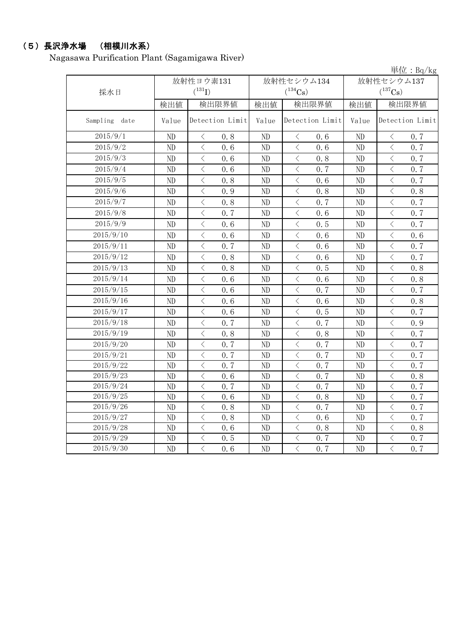## (5)長沢浄水場 (相模川水系)

Nagasawa Purification Plant (Sagamigawa River)

|               |             |                                                  |                       |                                                                                                                                                                                     |                       | 単位: $Bq/kg$                                      |
|---------------|-------------|--------------------------------------------------|-----------------------|-------------------------------------------------------------------------------------------------------------------------------------------------------------------------------------|-----------------------|--------------------------------------------------|
|               |             | 放射性ヨウ素131                                        |                       | 放射性セシウム134                                                                                                                                                                          |                       | 放射性セシウム137                                       |
| 採水日           | $(^{131}I)$ |                                                  | $(^{134}\mathrm{Cs})$ |                                                                                                                                                                                     | $(^{137}\mathrm{Cs})$ |                                                  |
|               | 検出値         | 検出限界値                                            | 検出値                   | 検出限界値                                                                                                                                                                               | 検出値                   | 検出限界値                                            |
| Sampling date | Value       | Detection Limit                                  | Value                 | Detection Limit                                                                                                                                                                     | Value                 | Detection Limit                                  |
| 2015/9/1      | $\rm ND$    | 0.8<br>$\lt$                                     | ND                    | $\langle$<br>0.6                                                                                                                                                                    | $\rm ND$              | 0.7<br>$\lt$                                     |
| 2015/9/2      | ND          | $\langle$<br>0, 6                                | ND                    | $\langle$<br>0, 6                                                                                                                                                                   | ND                    | $\langle$<br>0.7                                 |
| 2015/9/3      | ND          | $\langle$<br>0, 6                                | $\rm ND$              | $\langle$<br>0.8                                                                                                                                                                    | $\rm ND$              | $\langle$<br>0, 7                                |
| 2015/9/4      | ND          | $\, <\,$<br>0.6                                  | ND                    | $\hspace{0.1cm}\big\langle$<br>0.7                                                                                                                                                  | ND                    | $\bigg\langle$<br>0.7                            |
| 2015/9/5      | ND          | $\langle$<br>0.8                                 | ND                    | $\hspace{0.1mm} <\hspace{0.1mm}$<br>0.6                                                                                                                                             | ND                    | $\,$ $\,$ $\,$<br>0.7                            |
| 2015/9/6      | ND          | $\, <\,$<br>0.9                                  | ND                    | $\hspace{0.1mm}\mathopen{\begin{array}{c}\mathopen{\fbox{$\scriptstyle<\}}\end{array}}\hspace{-0.1mm}$<br>0.8                                                                       | ND                    | $\bigg\langle$<br>0.8                            |
| 2015/9/7      | $\rm ND$    | $\overline{\left\langle \right\rangle }$<br>0.8  | $\rm ND$              | $\langle$<br>0, 7                                                                                                                                                                   | ND                    | $\overline{\left\langle \right\rangle }$<br>0, 7 |
| 2015/9/8      | ND          | $\langle$<br>0.7                                 | ND                    | $\langle$<br>0.6                                                                                                                                                                    | $\rm ND$              | $\overline{\left\langle \right\rangle }$<br>0.7  |
| 2015/9/9      | ND          | $\lt$<br>0.6                                     | ND                    | $\overline{\left\langle \right. }% ,\left\langle \overline{\left\langle \right. }% ,\left\langle \overline{\left\langle \right. }\right\rangle \right\rangle \left. \right.$<br>0.5 | ND                    | $\langle$<br>0.7                                 |
| 2015/9/10     | ND          | $\overline{\left\langle \right\rangle }$<br>0, 6 | ND                    | $\langle$<br>0, 6                                                                                                                                                                   | ND                    | $\langle$<br>0, 6                                |
| 2015/9/11     | ND          | $\langle$<br>0.7                                 | ND                    | $\langle$<br>0.6                                                                                                                                                                    | $\rm ND$              | $\langle$<br>0.7                                 |
| 2015/9/12     | ND          | $\lt$<br>0.8                                     | ND                    | $\,$ $\,$ $\,$<br>0.6                                                                                                                                                               | $\rm ND$              | $\overline{\left\langle \right\rangle }$<br>0.7  |
| 2015/9/13     | ND          | $\langle$<br>0.8                                 | ND                    | $\langle$<br>0.5                                                                                                                                                                    | ND                    | $\langle$<br>0.8                                 |
| 2015/9/14     | ND          | $\lt$<br>0.6                                     | ND                    | $\,$ $\,$ $\,$<br>0.6                                                                                                                                                               | $\rm ND$              | $\lt$<br>0.8                                     |
| 2015/9/15     | $\rm ND$    | $\langle$<br>0, 6                                | ND                    | 0.7<br>$\langle$                                                                                                                                                                    | $\rm ND$              | $\lt$<br>0.7                                     |
| 2015/9/16     | $\rm ND$    | $\langle$<br>0.6                                 | $\rm ND$              | $\langle$<br>0.6                                                                                                                                                                    | $\rm ND$              | $\langle$<br>0.8                                 |
| 2015/9/17     | ND          | $\langle$<br>0.6                                 | ND                    | $\lt$<br>$0.5\,$                                                                                                                                                                    | ND                    | $\lt$<br>0.7                                     |
| 2015/9/18     | ND          | $\overline{\left\langle \right\rangle }$<br>0.7  | $\rm ND$              | $\langle$<br>0.7                                                                                                                                                                    | ND                    | $\langle$<br>0.9                                 |
| 2015/9/19     | ND          | $\langle$<br>0.8                                 | ND                    | $\lt$<br>0.8                                                                                                                                                                        | ND                    | $\langle$<br>0.7                                 |
| 2015/9/20     | ND          | $\langle$<br>0.7                                 | ND                    | $\langle$<br>0, 7                                                                                                                                                                   | ND                    | $\langle$<br>0.7                                 |
| 2015/9/21     | ND          | $\langle$<br>0.7                                 | ND                    | $\langle$<br>0.7                                                                                                                                                                    | $\rm ND$              | $\overline{\left\langle \right\rangle }$<br>0.7  |
| 2015/9/22     | ND          | $\overline{\left\langle \right\rangle }$<br>0.7  | ND                    | $\langle$<br>0.7                                                                                                                                                                    | ND                    | $\langle$<br>$0, \overline{7}$                   |
| 2015/9/23     | ND          | $\overline{\left\langle \right\rangle }$<br>0.6  | ND                    | $\langle$<br>0.7                                                                                                                                                                    | ND                    | $\overline{\left\langle \right\rangle }$<br>0.8  |
| 2015/9/24     | ND          | $\overline{\left\langle \right\rangle }$<br>0.7  | ND                    | $\langle$<br>0, 7                                                                                                                                                                   | ND                    | $\langle$<br>0.7                                 |
| 2015/9/25     | ND          | $\langle$<br>0.6                                 | $\rm ND$              | $\lt$<br>0.8                                                                                                                                                                        | ND                    | $\lt$<br>0.7                                     |
| 2015/9/26     | ND          | $\langle$<br>0.8                                 | ND                    | $\langle$<br>0, 7                                                                                                                                                                   | ND                    | $\overline{\left\langle \right\rangle }$<br>0.7  |
| 2015/9/27     | ND          | $\langle$<br>0.8                                 | ND                    | $\langle$<br>0.6                                                                                                                                                                    | $\rm ND$              | $\overline{\left\langle \right\rangle }$<br>0.7  |
| 2015/9/28     | ND          | $\langle$<br>0.6                                 | ND                    | $\langle$<br>0.8                                                                                                                                                                    | ND                    | $\langle$<br>0.8                                 |
| 2015/9/29     | ND          | $\,$ $\,$ $\,$<br>0.5                            | ND                    | $\langle$<br>0.7                                                                                                                                                                    | ND                    | $\bigg\langle$<br>0.7                            |
| 2015/9/30     | ND          | $\overline{\langle}$<br>0.6                      | ND                    | $\overline{\langle}$<br>0.7                                                                                                                                                         | ND                    | $\overline{\langle}$<br>0.7                      |